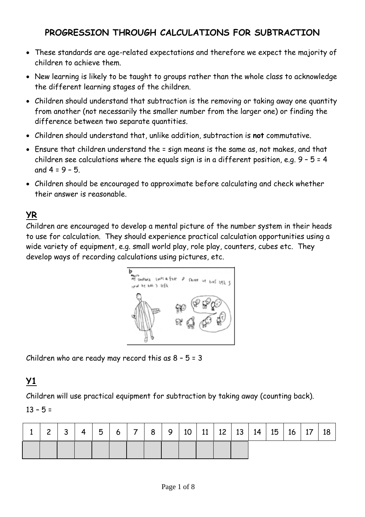## **PROGRESSION THROUGH CALCULATIONS FOR SUBTRACTION**

- These standards are age-related expectations and therefore we expect the majority of children to achieve them.
- New learning is likely to be taught to groups rather than the whole class to acknowledge the different learning stages of the children.
- Children should understand that subtraction is the removing or taking away one quantity from another (not necessarily the smaller number from the larger one) or finding the difference between two separate quantities.
- Children should understand that, unlike addition, subtraction is **not** commutative.
- Ensure that children understand the = sign means is the same as, not makes, and that children see calculations where the equals sign is in a different position, e.g.  $9 - 5 = 4$ and  $4 = 9 - 5$ .
- Children should be encouraged to approximate before calculating and check whether their answer is reasonable.

## **YR**

Children are encouraged to develop a mental picture of the number system in their heads to use for calculation. They should experience practical calculation opportunities using a wide variety of equipment, e.g. small world play, role play, counters, cubes etc. They develop ways of recording calculations using pictures, etc.



Children who are ready may record this as 8 – 5 = 3

## **Y1**

Children will use practical equipment for subtraction by taking away (counting back).

### $13 - 5 =$

| $\sim$ | 3 | $\overline{4}$ | 5 | 6 |  |  |  |  | 7 8 9 10 11 12 13 14 15 | $16 \mid 17$ | 18 |
|--------|---|----------------|---|---|--|--|--|--|-------------------------|--------------|----|
|        |   |                |   |   |  |  |  |  |                         |              |    |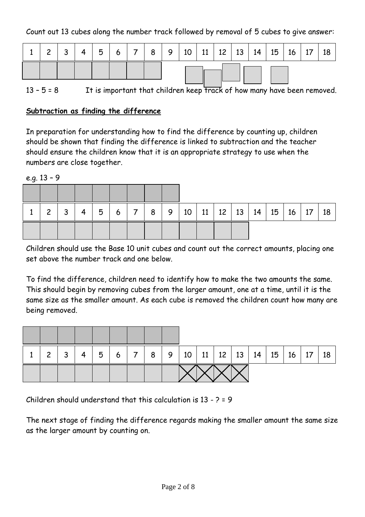Count out 13 cubes along the number track followed by removal of 5 cubes to give answer:

| $\sim$ | $\overline{4}$ | 5 | $6 \mid 7 \mid$ |  | 8   9   10   11   12   13   14   15 |  |  | 16 | 18 |
|--------|----------------|---|-----------------|--|-------------------------------------|--|--|----|----|
|        |                |   |                 |  |                                     |  |  |    |    |

13 -  $5 = 8$  It is important that children keep track of how many have been removed.

### **Subtraction as finding the difference**

In preparation for understanding how to find the difference by counting up, children should be shown that finding the difference is linked to subtraction and the teacher should ensure the children know that it is an appropriate strategy to use when the numbers are close together.

e.g. 13 – 9

| $\mathbf{2}$ | ર | 4 | 5 | 6 | $-1$ 7 $-1$ | 8 <sup>1</sup> |  |  |  | 9   10   11   12   13   14   15 | $16$ 17 | 18 |
|--------------|---|---|---|---|-------------|----------------|--|--|--|---------------------------------|---------|----|
|              |   |   |   |   |             |                |  |  |  |                                 |         |    |

Children should use the Base 10 unit cubes and count out the correct amounts, placing one set above the number track and one below.

To find the difference, children need to identify how to make the two amounts the same. This should begin by removing cubes from the larger amount, one at a time, until it is the same size as the smaller amount. As each cube is removed the children count how many are being removed.

| $\mathcal{P}$ | 3 | 5 | 6 <sup>1</sup> | $\overline{7}$ |  |  |  | 8   9   10   11   12   13   14   15   16   17 |  | 18 |
|---------------|---|---|----------------|----------------|--|--|--|-----------------------------------------------|--|----|
|               |   |   |                |                |  |  |  |                                               |  |    |

Children should understand that this calculation is 13 - ? = 9

The next stage of finding the difference regards making the smaller amount the same size as the larger amount by counting on.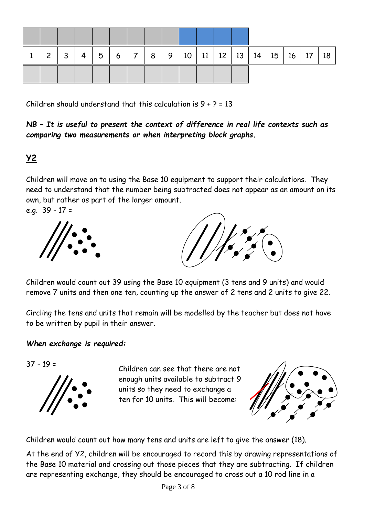| $\overline{2}$ | $\mathbf{3}$ | 4 | 5 | 6 7 |  |  |  |  | 8   9   10   11   12   13   14   15   16   17 | 18 |
|----------------|--------------|---|---|-----|--|--|--|--|-----------------------------------------------|----|
|                |              |   |   |     |  |  |  |  |                                               |    |

Children should understand that this calculation is  $9 + 2 = 13$ 

*NB – It is useful to present the context of difference in real life contexts such as comparing two measurements or when interpreting block graphs.* 

## **Y2**

Children will move on to using the Base 10 equipment to support their calculations. They need to understand that the number being subtracted does not appear as an amount on its own, but rather as part of the larger amount.

e.g. 39 - 17 =





Children would count out 39 using the Base 10 equipment (3 tens and 9 units) and would remove 7 units and then one ten, counting up the answer of 2 tens and 2 units to give 22.

Circling the tens and units that remain will be modelled by the teacher but does not have to be written by pupil in their answer.

### *When exchange is required:*

37 - 19 =



Children can see that there are not enough units available to subtract 9 units so they need to exchange a ten for 10 units. This will become:



Children would count out how many tens and units are left to give the answer (18).

At the end of Y2, children will be encouraged to record this by drawing representations of the Base 10 material and crossing out those pieces that they are subtracting. If children are representing exchange, they should be encouraged to cross out a 10 rod line in a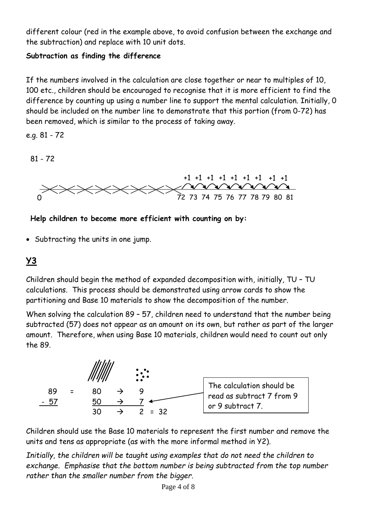different colour (red in the example above, to avoid confusion between the exchange and the subtraction) and replace with 10 unit dots.

### **Subtraction as finding the difference**

If the numbers involved in the calculation are close together or near to multiples of 10, 100 etc., children should be encouraged to recognise that it is more efficient to find the difference by counting up using a number line to support the mental calculation. Initially, 0 should be included on the number line to demonstrate that this portion (from 0-72) has been removed, which is similar to the process of taking away.

e.g. 81 - 72

81 - 72



**Help children to become more efficient with counting on by:**

Subtracting the units in one jump.

# **Y3**

Children should begin the method of expanded decomposition with, initially, TU – TU calculations. This process should be demonstrated using arrow cards to show the partitioning and Base 10 materials to show the decomposition of the number.

When solving the calculation 89 - 57, children need to understand that the number being subtracted (57) does not appear as an amount on its own, but rather as part of the larger amount. Therefore, when using Base 10 materials, children would need to count out only the 89.



Children should use the Base 10 materials to represent the first number and remove the units and tens as appropriate (as with the more informal method in Y2).

*Initially, the children will be taught using examples that do not need the children to exchange. Emphasise that the bottom number is being subtracted from the top number rather than the smaller number from the bigger.*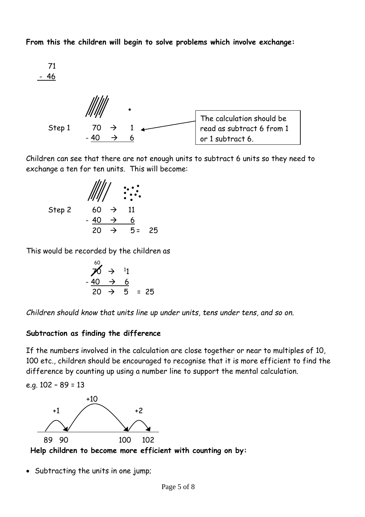**From this the children will begin to solve problems which involve exchange:**

71 - 46 Step 1 70  $\rightarrow$  1  $-40 \rightarrow 6$ The calculation should be read as subtract 6 from 1 or 1 subtract 6.

Children can see that there are not enough units to subtract 6 units so they need to exchange a ten for ten units. This will become:

Step 2  
\n
$$
\begin{array}{r}\n\frac{1}{11} \\
\frac{40 \rightarrow 6}{20 \rightarrow 5} \\
\end{array}
$$

This would be recorded by the children as

$$
\begin{array}{rcl}\n & 60 \\
\cancel{0} & \rightarrow & 11 \\
 & -40 & \rightarrow & 6 \\
\hline\n & 20 & \rightarrow & 5 = 25\n\end{array}
$$

*Children should know that units line up under units, tens under tens, and so on.*

### **Subtraction as finding the difference**

If the numbers involved in the calculation are close together or near to multiples of 10, 100 etc., children should be encouraged to recognise that it is more efficient to find the difference by counting up using a number line to support the mental calculation.

e.g. 102 – 89 = 13



**Help children to become more efficient with counting on by:**

Subtracting the units in one jump;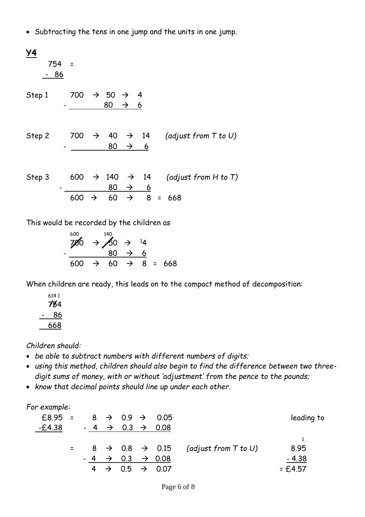Subtracting the tens in one jump and the units in one jump.

| Y4<br>754<br>86 | $\equiv$ |               |                                        |                  |                              |                           |
|-----------------|----------|---------------|----------------------------------------|------------------|------------------------------|---------------------------|
| Step 1          | 700      |               | $\rightarrow$ 50 $\rightarrow$ 4<br>80 | $\rightarrow$ 6  |                              |                           |
| Step 2          | 700      |               | $\rightarrow$ 40<br>80                 | $\rightarrow$ 14 | $\rightarrow$ 6              | (adjust from $T$ to $U$ ) |
| Step 3          | 600      | $\rightarrow$ | 140<br>80                              | $\rightarrow$    | $\rightarrow$ 14<br><u>6</u> | (adjust from $H$ to $T$ ) |
|                 | 600      | $\rightarrow$ | 60                                     | $\rightarrow$    | $8 =$                        | 668                       |

This would be recorded by the children as

$$
\begin{array}{rcl}\n & 600 \\
700 & \rightarrow & 50 & \rightarrow & 14 \\
 & & 80 & \rightarrow & 6 \\
\hline\n & 600 & \rightarrow & 60 & \rightarrow & 8 \\
\end{array} = 668
$$

When children are ready, this leads on to the compact method of decomposition:

|  | 6141<br>784 |
|--|-------------|
|  | 86          |
|  | 668         |

*Children should:*

- *be able to subtract numbers with different numbers of digits;*
- *using this method, children should also begin to find the difference between two threedigit sums of money, with or without 'adjustment' from the pence to the pounds;*
- *know that decimal points should line up under each other.*

### *For example:*

| £8.95 = $8 \rightarrow 0.9 \rightarrow 0.05$ |  |  |  |                                       |                                                                 | leading to |
|----------------------------------------------|--|--|--|---------------------------------------|-----------------------------------------------------------------|------------|
| -£4.38                                       |  |  |  | $-4 \rightarrow 0.3 \rightarrow 0.08$ |                                                                 |            |
|                                              |  |  |  |                                       |                                                                 |            |
|                                              |  |  |  |                                       | $=$ 8 $\rightarrow$ 0.8 $\rightarrow$ 0.15 (adjust from T to U) | 8.95       |
|                                              |  |  |  | $-4 \rightarrow 0.3 \rightarrow 0.08$ |                                                                 | $-4.38$    |
|                                              |  |  |  | $4 \rightarrow 0.5 \rightarrow 0.07$  |                                                                 | $= £4.57$  |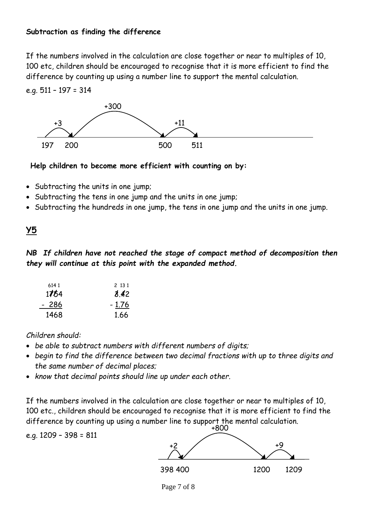### **Subtraction as finding the difference**

If the numbers involved in the calculation are close together or near to multiples of 10, 100 etc, children should be encouraged to recognise that it is more efficient to find the difference by counting up using a number line to support the mental calculation.

### e.g. 511 – 197 = 314



### **Help children to become more efficient with counting on by:**

- Subtracting the units in one jump;
- Subtracting the tens in one jump and the units in one jump;
- Subtracting the hundreds in one jump, the tens in one jump and the units in one jump.

## **Y5**

*NB If children have not reached the stage of compact method of decomposition then they will continue at this point with the expanded method.*

| 6141  | 2 13 1  |
|-------|---------|
| 1754  | 8.42    |
| - 286 | $-1.76$ |
| 1468  | 1.66    |

### *Children should:*

- *be able to subtract numbers with different numbers of digits;*
- *begin to find the difference between two decimal fractions with up to three digits and the same number of decimal places;*
- *know that decimal points should line up under each other.*

If the numbers involved in the calculation are close together or near to multiples of 10, 100 etc., children should be encouraged to recognise that it is more efficient to find the difference by counting up using a number line to support the mental calculation.

e.g. 1209 – 398 = 811



Page 7 of 8